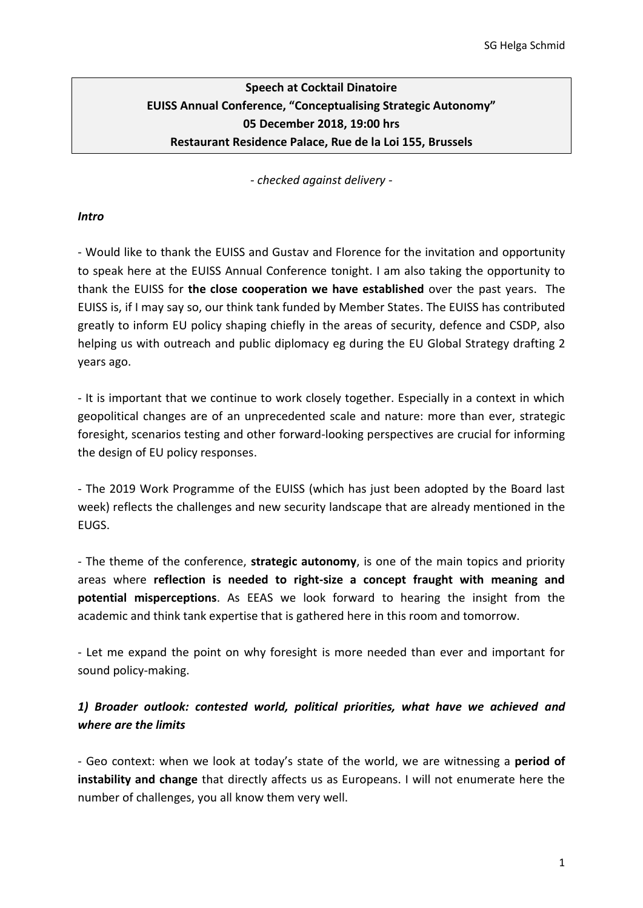# **Speech at Cocktail Dinatoire EUISS Annual Conference, "Conceptualising Strategic Autonomy" 05 December 2018, 19:00 hrs Restaurant Residence Palace, Rue de la Loi 155, Brussels**

*- checked against delivery -*

### *Intro*

- Would like to thank the EUISS and Gustav and Florence for the invitation and opportunity to speak here at the EUISS Annual Conference tonight. I am also taking the opportunity to thank the EUISS for **the close cooperation we have established** over the past years. The EUISS is, if I may say so, our think tank funded by Member States. The EUISS has contributed greatly to inform EU policy shaping chiefly in the areas of security, defence and CSDP, also helping us with outreach and public diplomacy eg during the EU Global Strategy drafting 2 years ago.

- It is important that we continue to work closely together. Especially in a context in which geopolitical changes are of an unprecedented scale and nature: more than ever, strategic foresight, scenarios testing and other forward-looking perspectives are crucial for informing the design of EU policy responses.

- The 2019 Work Programme of the EUISS (which has just been adopted by the Board last week) reflects the challenges and new security landscape that are already mentioned in the EUGS.

- The theme of the conference, **strategic autonomy**, is one of the main topics and priority areas where **reflection is needed to right-size a concept fraught with meaning and potential misperceptions**. As EEAS we look forward to hearing the insight from the academic and think tank expertise that is gathered here in this room and tomorrow.

- Let me expand the point on why foresight is more needed than ever and important for sound policy-making.

# *1) Broader outlook: contested world, political priorities, what have we achieved and where are the limits*

- Geo context: when we look at today's state of the world, we are witnessing a **period of instability and change** that directly affects us as Europeans. I will not enumerate here the number of challenges, you all know them very well.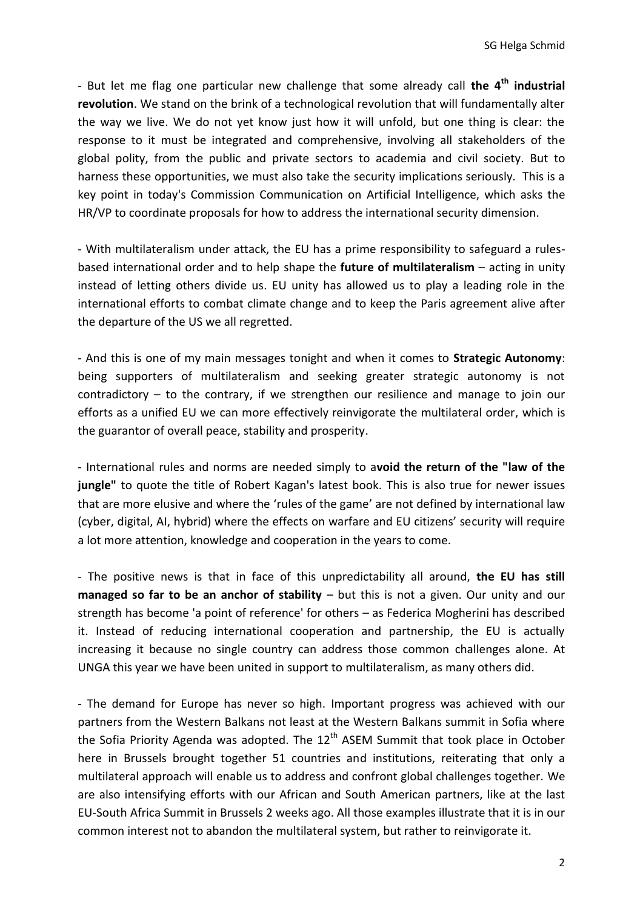- But let me flag one particular new challenge that some already call **the 4th industrial revolution**. We stand on the brink of a technological revolution that will fundamentally alter the way we live. We do not yet know just how it will unfold, but one thing is clear: the response to it must be integrated and comprehensive, involving all stakeholders of the global polity, from the public and private sectors to academia and civil society. But to harness these opportunities, we must also take the security implications seriously. This is a key point in today's Commission Communication on Artificial Intelligence, which asks the HR/VP to coordinate proposals for how to address the international security dimension.

- With multilateralism under attack, the EU has a prime responsibility to safeguard a rulesbased international order and to help shape the **future of multilateralism** – acting in unity instead of letting others divide us. EU unity has allowed us to play a leading role in the international efforts to combat climate change and to keep the Paris agreement alive after the departure of the US we all regretted.

- And this is one of my main messages tonight and when it comes to **Strategic Autonomy**: being supporters of multilateralism and seeking greater strategic autonomy is not contradictory – to the contrary, if we strengthen our resilience and manage to join our efforts as a unified EU we can more effectively reinvigorate the multilateral order, which is the guarantor of overall peace, stability and prosperity.

- International rules and norms are needed simply to a**void the return of the "law of the jungle"** to quote the title of Robert Kagan's latest book. This is also true for newer issues that are more elusive and where the 'rules of the game' are not defined by international law (cyber, digital, AI, hybrid) where the effects on warfare and EU citizens' security will require a lot more attention, knowledge and cooperation in the years to come.

- The positive news is that in face of this unpredictability all around, **the EU has still managed so far to be an anchor of stability** – but this is not a given. Our unity and our strength has become 'a point of reference' for others – as Federica Mogherini has described it. Instead of reducing international cooperation and partnership, the EU is actually increasing it because no single country can address those common challenges alone. At UNGA this year we have been united in support to multilateralism, as many others did.

- The demand for Europe has never so high. Important progress was achieved with our partners from the Western Balkans not least at the Western Balkans summit in Sofia where the Sofia Priority Agenda was adopted. The  $12<sup>th</sup>$  ASEM Summit that took place in October here in Brussels brought together 51 countries and institutions, reiterating that only a multilateral approach will enable us to address and confront global challenges together. We are also intensifying efforts with our African and South American partners, like at the last EU-South Africa Summit in Brussels 2 weeks ago. All those examples illustrate that it is in our common interest not to abandon the multilateral system, but rather to reinvigorate it.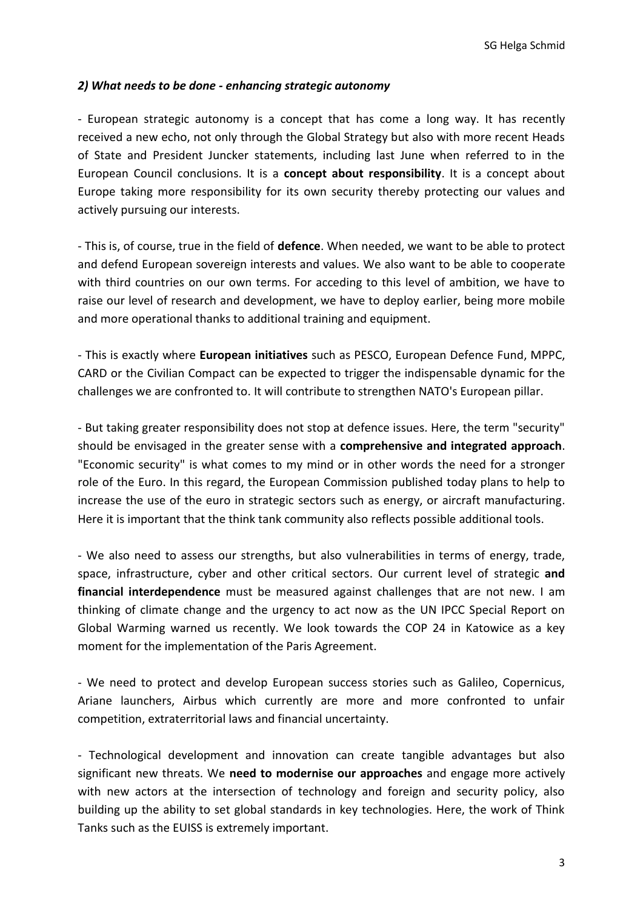### *2) What needs to be done - enhancing strategic autonomy*

- European strategic autonomy is a concept that has come a long way. It has recently received a new echo, not only through the Global Strategy but also with more recent Heads of State and President Juncker statements, including last June when referred to in the European Council conclusions. It is a **concept about responsibility**. It is a concept about Europe taking more responsibility for its own security thereby protecting our values and actively pursuing our interests.

- This is, of course, true in the field of **defence**. When needed, we want to be able to protect and defend European sovereign interests and values. We also want to be able to cooperate with third countries on our own terms. For acceding to this level of ambition, we have to raise our level of research and development, we have to deploy earlier, being more mobile and more operational thanks to additional training and equipment.

- This is exactly where **European initiatives** such as PESCO, European Defence Fund, MPPC, CARD or the Civilian Compact can be expected to trigger the indispensable dynamic for the challenges we are confronted to. It will contribute to strengthen NATO's European pillar.

- But taking greater responsibility does not stop at defence issues. Here, the term "security" should be envisaged in the greater sense with a **comprehensive and integrated approach**. "Economic security" is what comes to my mind or in other words the need for a stronger role of the Euro. In this regard, the European Commission published today plans to help to increase the use of the euro in strategic sectors such as energy, or aircraft manufacturing. Here it is important that the think tank community also reflects possible additional tools.

- We also need to assess our strengths, but also vulnerabilities in terms of energy, trade, space, infrastructure, cyber and other critical sectors. Our current level of strategic **and financial interdependence** must be measured against challenges that are not new. I am thinking of climate change and the urgency to act now as the UN IPCC Special Report on Global Warming warned us recently. We look towards the COP 24 in Katowice as a key moment for the implementation of the Paris Agreement.

- We need to protect and develop European success stories such as Galileo, Copernicus, Ariane launchers, Airbus which currently are more and more confronted to unfair competition, extraterritorial laws and financial uncertainty.

- Technological development and innovation can create tangible advantages but also significant new threats. We **need to modernise our approaches** and engage more actively with new actors at the intersection of technology and foreign and security policy, also building up the ability to set global standards in key technologies. Here, the work of Think Tanks such as the EUISS is extremely important.